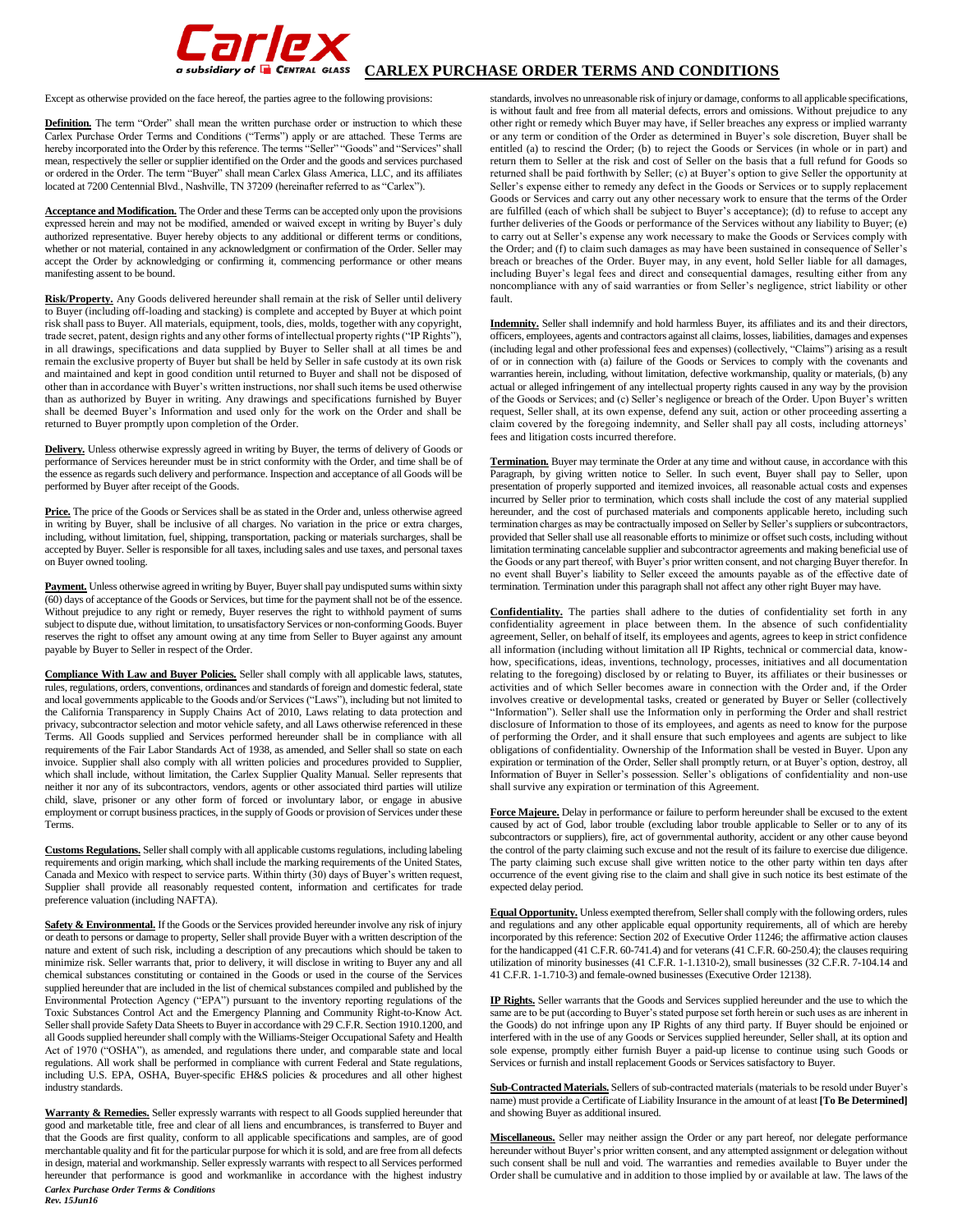

**GSubsidiary of**  $\blacksquare$  **CENTRAL GLASS** CARLEX PURCHASE ORDER TERMS AND CONDITIONS

Except as otherwise provided on the face hereof, the parties agree to the following provisions:

**Definition.** The term "Order" shall mean the written purchase order or instruction to which these Carlex Purchase Order Terms and Conditions ("Terms") apply or are attached. These Terms are hereby incorporated into the Order by this reference. The terms "Seller" "Goods" and "Services" shall mean, respectively the seller or supplier identified on the Order and the goods and services purchased or ordered in the Order. The term "Buyer" shall mean Carlex Glass America, LLC, and its affiliates located at 7200 Centennial Blvd., Nashville, TN 37209 (hereinafter referred to as "Carlex").

**Acceptance and Modification.** The Order and these Terms can be accepted only upon the provisions expressed herein and may not be modified, amended or waived except in writing by Buyer's duly authorized representative. Buyer hereby objects to any additional or different terms or conditions, whether or not material, contained in any acknowledgment or confirmation of the Order. Seller may accept the Order by acknowledging or confirming it, commencing performance or other means manifesting assent to be bound.

**Risk/Property.** Any Goods delivered hereunder shall remain at the risk of Seller until delivery to Buyer (including off-loading and stacking) is complete and accepted by Buyer at which point risk shall pass to Buyer. All materials, equipment, tools, dies, molds, together with any copyright, trade secret, patent, design rights and any other forms of intellectual property rights ("IP Rights"), in all drawings, specifications and data supplied by Buyer to Seller shall at all times be and remain the exclusive property of Buyer but shall be held by Seller in safe custody at its own risk and maintained and kept in good condition until returned to Buyer and shall not be disposed of other than in accordance with Buyer's written instructions, nor shall such items be used otherwise than as authorized by Buyer in writing. Any drawings and specifications furnished by Buyer shall be deemed Buyer's Information and used only for the work on the Order and shall be returned to Buyer promptly upon completion of the Order.

**Delivery.** Unless otherwise expressly agreed in writing by Buyer, the terms of delivery of Goods or performance of Services hereunder must be in strict conformity with the Order, and time shall be of the essence as regards such delivery and performance. Inspection and acceptance of all Goods will be performed by Buyer after receipt of the Goods.

Price. The price of the Goods or Services shall be as stated in the Order and, unless otherwise agreed in writing by Buyer, shall be inclusive of all charges. No variation in the price or extra charges, including, without limitation, fuel, shipping, transportation, packing or materials surcharges, shall be accepted by Buyer. Seller is responsible for all taxes, including sales and use taxes, and personal taxes on Buyer owned tooling.

Payment. Unless otherwise agreed in writing by Buyer, Buyer shall pay undisputed sums within sixty (60) days of acceptance of the Goods or Services, but time for the payment shall not be of the essence. Without prejudice to any right or remedy, Buyer reserves the right to withhold payment of sums subject to dispute due, without limitation, to unsatisfactory Services or non-conforming Goods. Buyer reserves the right to offset any amount owing at any time from Seller to Buyer against any amount payable by Buyer to Seller in respect of the Order.

**Compliance With Law and Buyer Policies.** Seller shall comply with all applicable laws, statutes, rules, regulations, orders, conventions, ordinances and standards of foreign and domestic federal, state and local governments applicable to the Goods and/or Services ("Laws"), including but not limited to the California Transparency in Supply Chains Act of 2010, Laws relating to data protection and privacy, subcontractor selection and motor vehicle safety, and all Laws otherwise referenced in these Terms. All Goods supplied and Services performed hereunder shall be in compliance with all requirements of the Fair Labor Standards Act of 1938, as amended, and Seller shall so state on each invoice. Supplier shall also comply with all written policies and procedures provided to Supplier, which shall include, without limitation, the Carlex Supplier Quality Manual. Seller represents that neither it nor any of its subcontractors, vendors, agents or other associated third parties will utilize child, slave, prisoner or any other form of forced or involuntary labor, or engage in abusive employment or corrupt business practices, in the supply of Goods or provision of Services under these Terms.

**Customs Regulations.** Seller shall comply with all applicable customs regulations, including labeling requirements and origin marking, which shall include the marking requirements of the United States, Canada and Mexico with respect to service parts. Within thirty (30) days of Buyer's written request, Supplier shall provide all reasonably requested content, information and certificates for trade preference valuation (including NAFTA).

**Safety & Environmental.** If the Goods or the Services provided hereunder involve any risk of injury or death to persons or damage to property, Seller shall provide Buyer with a written description of the nature and extent of such risk, including a description of any precautions which should be taken to minimize risk. Seller warrants that, prior to delivery, it will disclose in writing to Buyer any and all chemical substances constituting or contained in the Goods or used in the course of the Services supplied hereunder that are included in the list of chemical substances compiled and published by the Environmental Protection Agency ("EPA") pursuant to the inventory reporting regulations of the Toxic Substances Control Act and the Emergency Planning and Community Right-to-Know Act. Seller shall provide Safety Data Sheets to Buyer in accordance with 29 C.F.R. Section 1910.1200, and all Goods supplied hereunder shall comply with the Williams-Steiger Occupational Safety and Health Act of 1970 ("OSHA"), as amended, and regulations there under, and comparable state and local regulations. All work shall be performed in compliance with current Federal and State regulations, including U.S. EPA, OSHA, Buyer-specific EH&S policies & procedures and all other highest industry standards.

*Carlex Purchase Order Terms & Conditions Rev. 15Jun16* **Warranty & Remedies.** Seller expressly warrants with respect to all Goods supplied hereunder that good and marketable title, free and clear of all liens and encumbrances, is transferred to Buyer and that the Goods are first quality, conform to all applicable specifications and samples, are of good merchantable quality and fit for the particular purpose for which it is sold, and are free from all defects in design, material and workmanship. Seller expressly warrants with respect to all Services performed hereunder that performance is good and workmanlike in accordance with the highest industry

standards, involves no unreasonable risk of injury or damage, conforms to all applicable specifications, is without fault and free from all material defects, errors and omissions. Without prejudice to any other right or remedy which Buyer may have, if Seller breaches any express or implied warranty or any term or condition of the Order as determined in Buyer's sole discretion, Buyer shall be entitled (a) to rescind the Order; (b) to reject the Goods or Services (in whole or in part) and return them to Seller at the risk and cost of Seller on the basis that a full refund for Goods so returned shall be paid forthwith by Seller; (c) at Buyer's option to give Seller the opportunity at Seller's expense either to remedy any defect in the Goods or Services or to supply replacement Goods or Services and carry out any other necessary work to ensure that the terms of the Order are fulfilled (each of which shall be subject to Buyer's acceptance); (d) to refuse to accept any further deliveries of the Goods or performance of the Services without any liability to Buyer; (e) to carry out at Seller's expense any work necessary to make the Goods or Services comply with the Order; and (f) to claim such damages as may have been sustained in consequence of Seller's breach or breaches of the Order. Buyer may, in any event, hold Seller liable for all damages, including Buyer's legal fees and direct and consequential damages, resulting either from any noncompliance with any of said warranties or from Seller's negligence, strict liability or other fault.

**Indemnity.** Seller shall indemnify and hold harmless Buyer, its affiliates and its and their directors, officers, employees, agents and contractors against all claims, losses, liabilities, damages and expenses (including legal and other professional fees and expenses) (collectively, "Claims") arising as a result of or in connection with (a) failure of the Goods or Services to comply with the covenants and warranties herein, including, without limitation, defective workmanship, quality or materials, (b) any actual or alleged infringement of any intellectual property rights caused in any way by the provision of the Goods or Services; and (c) Seller's negligence or breach of the Order. Upon Buyer's written request, Seller shall, at its own expense, defend any suit, action or other proceeding asserting a claim covered by the foregoing indemnity, and Seller shall pay all costs, including attorneys' fees and litigation costs incurred therefore.

**Termination.** Buyer may terminate the Order at any time and without cause, in accordance with this Paragraph, by giving written notice to Seller. In such event, Buyer shall pay to Seller, upon presentation of properly supported and itemized invoices, all reasonable actual costs and expenses incurred by Seller prior to termination, which costs shall include the cost of any material supplied hereunder, and the cost of purchased materials and components applicable hereto, including such termination charges as may be contractually imposed on Seller by Seller's suppliers or subcontractors, provided that Seller shall use all reasonable efforts to minimize or offset such costs, including without limitation terminating cancelable supplier and subcontractor agreements and making beneficial use of the Goods or any part thereof, with Buyer's prior written consent, and not charging Buyer therefor. In no event shall Buyer's liability to Seller exceed the amounts payable as of the effective date of termination. Termination under this paragraph shall not affect any other right Buyer may have.

**Confidentiality.** The parties shall adhere to the duties of confidentiality set forth in any confidentiality agreement in place between them. In the absence of such confidentiality agreement, Seller, on behalf of itself, its employees and agents, agrees to keep in strict confidence all information (including without limitation all IP Rights, technical or commercial data, knowhow, specifications, ideas, inventions, technology, processes, initiatives and all documentation relating to the foregoing) disclosed by or relating to Buyer, its affiliates or their businesses or activities and of which Seller becomes aware in connection with the Order and, if the Order involves creative or developmental tasks, created or generated by Buyer or Seller (collectively "Information"). Seller shall use the Information only in performing the Order and shall restrict disclosure of Information to those of its employees, and agents as need to know for the purpose of performing the Order, and it shall ensure that such employees and agents are subject to like obligations of confidentiality. Ownership of the Information shall be vested in Buyer. Upon any expiration or termination of the Order, Seller shall promptly return, or at Buyer's option, destroy, all Information of Buyer in Seller's possession. Seller's obligations of confidentiality and non-use shall survive any expiration or termination of this Agreement.

**Force Majeure.** Delay in performance or failure to perform hereunder shall be excused to the extent caused by act of God, labor trouble (excluding labor trouble applicable to Seller or to any of its subcontractors or suppliers), fire, act of governmental authority, accident or any other cause beyond the control of the party claiming such excuse and not the result of its failure to exercise due diligence. The party claiming such excuse shall give written notice to the other party within ten days after occurrence of the event giving rise to the claim and shall give in such notice its best estimate of the expected delay period.

**Equal Opportunity.** Unless exempted therefrom, Seller shall comply with the following orders, rules and regulations and any other applicable equal opportunity requirements, all of which are hereby incorporated by this reference: Section 202 of Executive Order 11246; the affirmative action clauses for the handicapped (41 C.F.R. 60-741.4) and for veterans (41 C.F.R. 60-250.4); the clauses requiring utilization of minority businesses (41 C.F.R. 1-1.1310-2), small businesses (32 C.F.R. 7-104.14 and 41 C.F.R. 1-1.710-3) and female-owned businesses (Executive Order 12138).

**IP Rights.** Seller warrants that the Goods and Services supplied hereunder and the use to which the same are to be put (according to Buyer's stated purpose set forth herein or such uses as are inherent in the Goods) do not infringe upon any IP Rights of any third party. If Buyer should be enjoined or interfered with in the use of any Goods or Services supplied hereunder, Seller shall, at its option and sole expense, promptly either furnish Buyer a paid-up license to continue using such Goods or Services or furnish and install replacement Goods or Services satisfactory to Buyer.

**Sub-Contracted Materials.** Sellers of sub-contracted materials (materials to be resold under Buyer's name) must provide a Certificate of Liability Insurance in the amount of at least **[To Be Determined]** and showing Buyer as additional insured.

**Miscellaneous.** Seller may neither assign the Order or any part hereof, nor delegate performance hereunder without Buyer's prior written consent, and any attempted assignment or delegation without such consent shall be null and void. The warranties and remedies available to Buyer under the Order shall be cumulative and in addition to those implied by or available at law. The laws of the